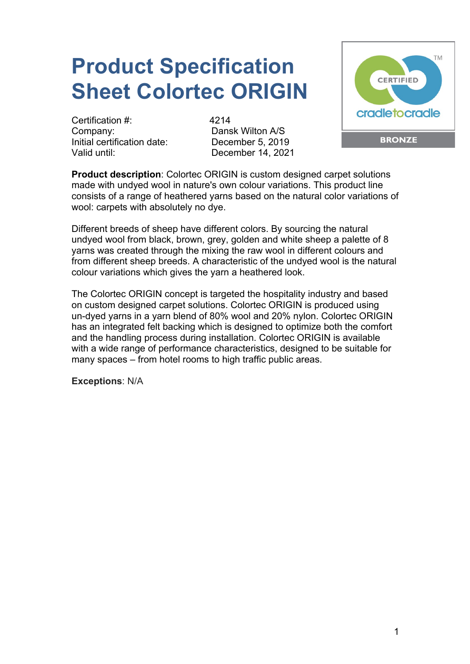## **Product Specification Sheet Colortec ORIGIN**

Certification #: 4214 Company: Dansk Wilton A/S Initial certification date: December 5, 2019 Valid until: December 14, 2021



**Product description**: Colortec ORIGIN is custom designed carpet solutions made with undyed wool in nature's own colour variations. This product line consists of a range of heathered yarns based on the natural color variations of wool: carpets with absolutely no dye.

Different breeds of sheep have different colors. By sourcing the natural undyed wool from black, brown, grey, golden and white sheep a palette of 8 yarns was created through the mixing the raw wool in different colours and from different sheep breeds. A characteristic of the undyed wool is the natural colour variations which gives the yarn a heathered look.

The Colortec ORIGIN concept is targeted the hospitality industry and based on custom designed carpet solutions. Colortec ORIGIN is produced using un-dyed yarns in a yarn blend of 80% wool and 20% nylon. Colortec ORIGIN has an integrated felt backing which is designed to optimize both the comfort and the handling process during installation. Colortec ORIGIN is available with a wide range of performance characteristics, designed to be suitable for many spaces – from hotel rooms to high traffic public areas.

**Exceptions**: N/A